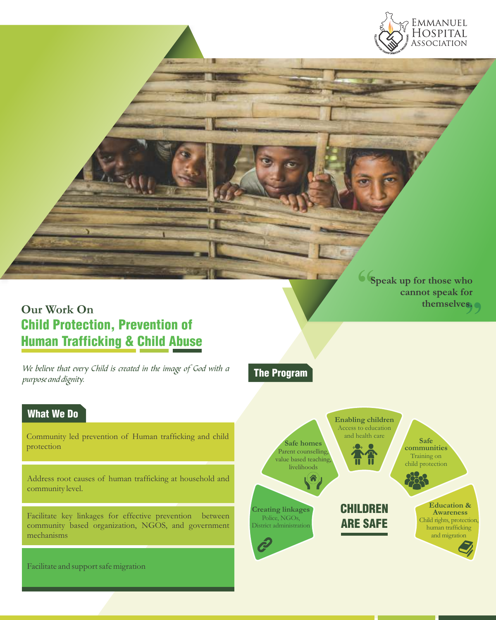

# **Our Work On** Child Protection, Prevention of Human Trafficking & Child Abuse

We believe that every Child is created in the image of God with a purpose and dignity.

The Program

Community led prevention of Human trafficking and child protection

Address root causes of human trafficking at household and community level.

Facilitate key linkages for effective prevention between community based organization, NGOS, and government mechanisms

Facilitate and support safe migration



**Speak up f or those who cannot speak f or**  ot speak for<br>themselves.<sub>.....</sub>